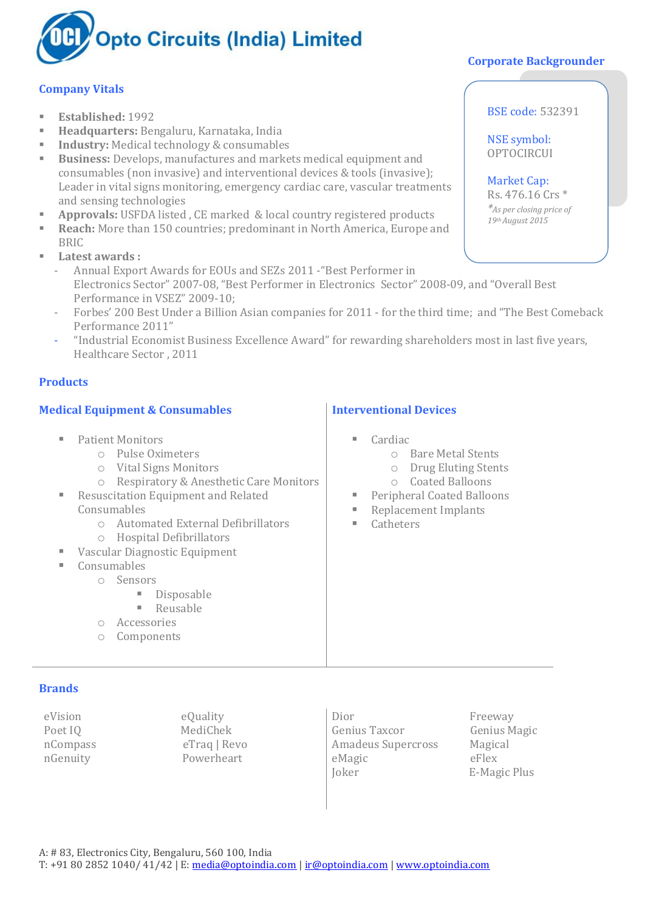

# **Company Vitals**

- **Established:** 1992
- **Headquarters:** Bengaluru, Karnataka, India
- **Industry:** Medical technology & consumables
- **Business:** Develops, manufactures and markets medical equipment and consumables (non invasive) and interventional devices & tools (invasive); Leader in vital signs monitoring, emergency cardiac care, vascular treatments and sensing technologies
- **Approvals:** USFDA listed , CE marked & local country registered products
- **Reach:** More than 150 countries; predominant in North America, Europe and **BRIC**
- **Latest awards :**
	- Annual Export Awards for EOUs and SEZs 2011 -"Best Performer in Electronics Sector" 2007-08, "Best Performer in Electronics Sector" 2008-09, and "Overall Best Performance in VSEZ" 2009-10;
	- Forbes' 200 Best Under a Billion Asian companies for 2011 for the third time; and "The Best Comeback Performance 2011"
	- "Industrial Economist Business Excellence Award" for rewarding shareholders most in last five years, Healthcare Sector , 2011

## **Products**

## **Medical Equipment & Consumables**

- **Patient Monitors** 
	- o Pulse Oximeters
	- o Vital Signs Monitors
	- o Respiratory & Anesthetic Care Monitors
- Resuscitation Equipment and Related Consumables
	- o Automated External Defibrillators
	- o Hospital Defibrillators
- Vascular Diagnostic Equipment
	- Consumables
		- o Sensors
			- **Disposable**
			- **Reusable**
			- o Accessories
			- o Components

#### **Brands**

eVision eQuality

Poet IO MediChek nCompass eTraq | Revo nGenuity Powerheart

Dior Freeway Genius Taxcor Genius Magic Amadeus Supercross Magical eMagic eFlex Joker E-Magic Plus

# **Corporate Backgrounder**

BSE code: 532391

NSE symbol: **OPTOCIRCUI** 

Market Cap: Rs. 476.16 Crs \* *\*As per closing price of 19thAugust 2015*

# **Interventional Devices**

- Cardiac
	- o Bare Metal Stents
	- o Drug Eluting Stents
	- o Coated Balloons
- Peripheral Coated Balloons
- Replacement Implants
- **E** Catheters